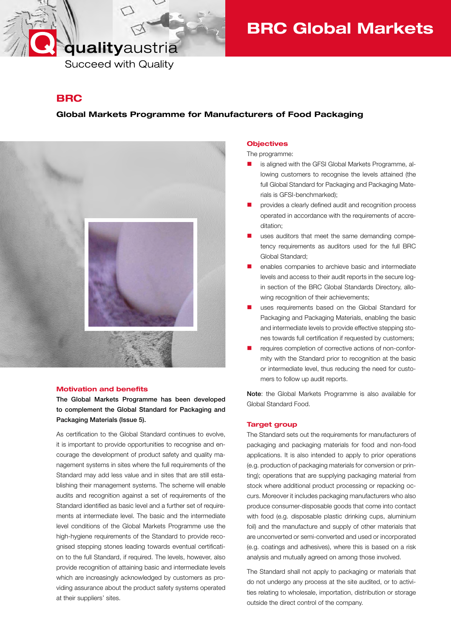# qualityaustria

# BRC Global Markets

**Succeed with Quality** 

# **BRC**

# Global Markets Programme for Manufacturers of Food Packaging



### Motivation and benefits

The Global Markets Programme has been developed to complement the Global Standard for Packaging and Packaging Materials (Issue 5).

As certification to the Global Standard continues to evolve, it is important to provide opportunities to recognise and encourage the development of product safety and quality management systems in sites where the full requirements of the Standard may add less value and in sites that are still establishing their management systems. The scheme will enable audits and recognition against a set of requirements of the Standard identified as basic level and a further set of requirements at intermediate level. The basic and the intermediate level conditions of the Global Markets Programme use the high-hygiene requirements of the Standard to provide recognised stepping stones leading towards eventual certification to the full Standard, if required. The levels, however, also provide recognition of attaining basic and intermediate levels which are increasingly acknowledged by customers as providing assurance about the product safety systems operated at their suppliers' sites.

# **Objectives**

The programme:

- is aligned with the GFSI Global Markets Programme, allowing customers to recognise the levels attained (the full Global Standard for Packaging and Packaging Materials is GFSI-benchmarked);
- provides a clearly defined audit and recognition process operated in accordance with the requirements of accreditation;
- uses auditors that meet the same demanding competency requirements as auditors used for the full BRC Global Standard;
- enables companies to archieve basic and intermediate levels and access to their audit reports in the secure login section of the BRC Global Standards Directory, allowing recognition of their achievements;
- uses requirements based on the Global Standard for Packaging and Packaging Materials, enabling the basic and intermediate levels to provide effective stepping stones towards full certification if requested by customers;
- requires completion of corrective actions of non-conformity with the Standard prior to recognition at the basic or intermediate level, thus reducing the need for customers to follow up audit reports.

Note: the Global Markets Programme is also available for Global Standard Food.

# Target group

The Standard sets out the requirements for manufacturers of packaging and packaging materials for food and non-food applications. It is also intended to apply to prior operations (e.g. production of packaging materials for conversion or printing); operations that are supplying packaging material from stock where additional product processing or repacking occurs. Moreover it includes packaging manufacturers who also produce consumer-disposable goods that come into contact with food (e.g. disposable plastic drinking cups, aluminium foil) and the manufacture and supply of other materials that are unconverted or semi-converted and used or incorporated (e.g. coatings and adhesives), where this is based on a risk analysis and mutually agreed on among those involved.

The Standard shall not apply to packaging or materials that do not undergo any process at the site audited, or to activities relating to wholesale, importation, distribution or storage outside the direct control of the company.